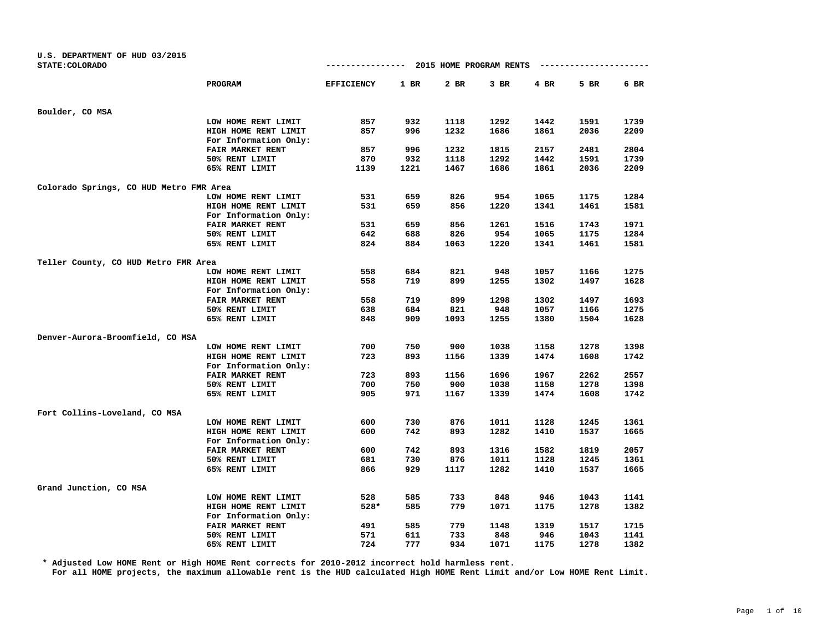| U.S. DEPARTMENT OF HUD 03/2015<br>STATE: COLORADO |                         | ----------------- |        | 2015 HOME PROGRAM RENTS |        |        | ---------------- |      |
|---------------------------------------------------|-------------------------|-------------------|--------|-------------------------|--------|--------|------------------|------|
|                                                   |                         |                   |        |                         |        |        |                  |      |
|                                                   | PROGRAM                 | <b>EFFICIENCY</b> | $1$ BR | 2 BR                    | $3$ BR | $4$ BR | 5 BR             | 6 BR |
| Boulder, CO MSA                                   |                         |                   |        |                         |        |        |                  |      |
|                                                   | LOW HOME RENT LIMIT     | 857               | 932    | 1118                    | 1292   | 1442   | 1591             | 1739 |
|                                                   | HIGH HOME RENT LIMIT    | 857               | 996    | 1232                    | 1686   | 1861   | 2036             | 2209 |
|                                                   | For Information Only:   |                   |        |                         |        |        |                  |      |
|                                                   | FAIR MARKET RENT        | 857               | 996    | 1232                    | 1815   | 2157   | 2481             | 2804 |
|                                                   | 50% RENT LIMIT          | 870               | 932    | 1118                    | 1292   | 1442   | 1591             | 1739 |
|                                                   | 65% RENT LIMIT          | 1139              | 1221   | 1467                    | 1686   | 1861   | 2036             | 2209 |
| Colorado Springs, CO HUD Metro FMR Area           |                         |                   |        |                         |        |        |                  |      |
|                                                   | LOW HOME RENT LIMIT     | 531               | 659    | 826                     | 954    | 1065   | 1175             | 1284 |
|                                                   | HIGH HOME RENT LIMIT    | 531               | 659    | 856                     | 1220   | 1341   | 1461             | 1581 |
|                                                   | For Information Only:   |                   |        |                         |        |        |                  |      |
|                                                   | FAIR MARKET RENT        | 531               | 659    | 856                     | 1261   | 1516   | 1743             | 1971 |
|                                                   | 50% RENT LIMIT          | 642               | 688    | 826                     | 954    | 1065   | 1175             | 1284 |
|                                                   | 65% RENT LIMIT          | 824               | 884    | 1063                    | 1220   | 1341   | 1461             | 1581 |
| Teller County, CO HUD Metro FMR Area              |                         |                   |        |                         |        |        |                  |      |
|                                                   | LOW HOME RENT LIMIT     | 558               | 684    | 821                     | 948    | 1057   | 1166             | 1275 |
|                                                   | HIGH HOME RENT LIMIT    | 558               | 719    | 899                     | 1255   | 1302   | 1497             | 1628 |
|                                                   | For Information Only:   |                   |        |                         |        |        |                  |      |
|                                                   | <b>FAIR MARKET RENT</b> | 558               | 719    | 899                     | 1298   | 1302   | 1497             | 1693 |
|                                                   | 50% RENT LIMIT          | 638               | 684    | 821                     | 948    | 1057   | 1166             | 1275 |
|                                                   | 65% RENT LIMIT          | 848               | 909    | 1093                    | 1255   | 1380   | 1504             | 1628 |
| Denver-Aurora-Broomfield, CO MSA                  |                         |                   |        |                         |        |        |                  |      |
|                                                   | LOW HOME RENT LIMIT     | 700               | 750    | 900                     | 1038   | 1158   | 1278             | 1398 |
|                                                   | HIGH HOME RENT LIMIT    | 723               | 893    | 1156                    | 1339   | 1474   | 1608             | 1742 |
|                                                   | For Information Only:   |                   |        |                         |        |        |                  |      |
|                                                   | FAIR MARKET RENT        | 723               | 893    | 1156                    | 1696   | 1967   | 2262             | 2557 |
|                                                   | 50% RENT LIMIT          | 700               | 750    | 900                     | 1038   | 1158   | 1278             | 1398 |
|                                                   | 65% RENT LIMIT          | 905               | 971    | 1167                    | 1339   | 1474   | 1608             | 1742 |
| Fort Collins-Loveland, CO MSA                     |                         |                   |        |                         |        |        |                  |      |
|                                                   | LOW HOME RENT LIMIT     | 600               | 730    | 876                     | 1011   | 1128   | 1245             | 1361 |
|                                                   | HIGH HOME RENT LIMIT    | 600               | 742    | 893                     | 1282   | 1410   | 1537             | 1665 |
|                                                   | For Information Only:   |                   |        |                         |        |        |                  |      |
|                                                   | FAIR MARKET RENT        | 600               | 742    | 893                     | 1316   | 1582   | 1819             | 2057 |
|                                                   | 50% RENT LIMIT          | 681               | 730    | 876                     | 1011   | 1128   | 1245             | 1361 |
|                                                   | 65% RENT LIMIT          | 866               | 929    | 1117                    | 1282   | 1410   | 1537             | 1665 |
| Grand Junction, CO MSA                            |                         |                   |        |                         |        |        |                  |      |
|                                                   | LOW HOME RENT LIMIT     | 528               | 585    | 733                     | 848    | 946    | 1043             | 1141 |
|                                                   | HIGH HOME RENT LIMIT    | 528*              | 585    | 779                     | 1071   | 1175   | 1278             | 1382 |
|                                                   | For Information Only:   |                   |        |                         |        |        |                  |      |
|                                                   | FAIR MARKET RENT        | 491               | 585    | 779                     | 1148   | 1319   | 1517             | 1715 |
|                                                   | 50% RENT LIMIT          | 571               | 611    | 733                     | 848    | 946    | 1043             | 1141 |
|                                                   | 65% RENT LIMIT          | 724               | 777    | 934                     | 1071   | 1175   | 1278             | 1382 |

**\* Adjusted Low HOME Rent or High HOME Rent corrects for 2010-2012 incorrect hold harmless rent.**

**For all HOME projects, the maximum allowable rent is the HUD calculated High HOME Rent Limit and/or Low HOME Rent Limit.**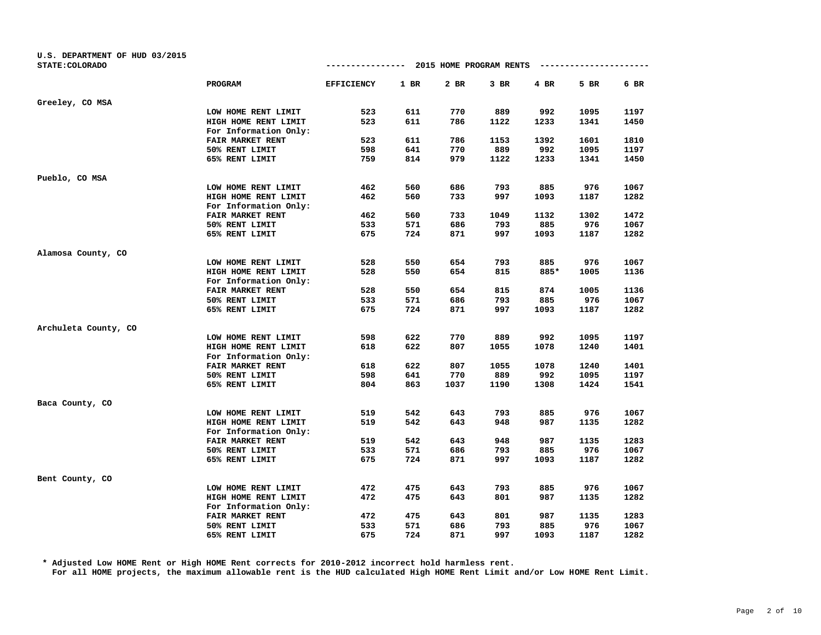| U.S. DEPARTMENT OF HUD 03/2015<br>STATE: COLORADO |                         | ----------------  |        | 2015 HOME PROGRAM RENTS |        |             | --------------- |              |
|---------------------------------------------------|-------------------------|-------------------|--------|-------------------------|--------|-------------|-----------------|--------------|
|                                                   | PROGRAM                 | <b>EFFICIENCY</b> | $1$ BR | 2 BR                    | $3$ BR | 4 BR        | 5 BR            | 6 BR         |
|                                                   |                         |                   |        |                         |        |             |                 |              |
| Greeley, CO MSA                                   |                         |                   |        |                         |        |             |                 |              |
|                                                   | LOW HOME RENT LIMIT     | 523               | 611    | 770                     | 889    | 992         | 1095            | 1197         |
|                                                   | HIGH HOME RENT LIMIT    | 523               | 611    | 786                     | 1122   | 1233        | 1341            | 1450         |
|                                                   | For Information Only:   |                   |        |                         |        |             |                 |              |
|                                                   | <b>FAIR MARKET RENT</b> | 523               | 611    | 786                     | 1153   | 1392        | 1601            | 1810         |
|                                                   | 50% RENT LIMIT          | 598               | 641    | 770                     | 889    | 992         | 1095            | 1197         |
|                                                   | 65% RENT LIMIT          | 759               | 814    | 979                     | 1122   | 1233        | 1341            | 1450         |
| Pueblo, CO MSA                                    |                         |                   |        |                         |        |             |                 |              |
|                                                   | LOW HOME RENT LIMIT     | 462               | 560    | 686                     | 793    | 885         | 976             | 1067         |
|                                                   | HIGH HOME RENT LIMIT    | 462               | 560    | 733                     | 997    | 1093        | 1187            | 1282         |
|                                                   | For Information Only:   |                   |        |                         |        |             |                 |              |
|                                                   | FAIR MARKET RENT        | 462               | 560    | 733                     | 1049   | 1132        | 1302            | 1472         |
|                                                   | 50% RENT LIMIT          | 533               | 571    | 686                     | 793    | 885         | 976             | 1067         |
|                                                   | 65% RENT LIMIT          | 675               | 724    | 871                     | 997    | 1093        | 1187            | 1282         |
| Alamosa County, CO                                |                         |                   |        |                         |        |             |                 |              |
|                                                   | LOW HOME RENT LIMIT     | 528               | 550    | 654                     | 793    | 885         | 976             | 1067         |
|                                                   | HIGH HOME RENT LIMIT    | 528               | 550    | 654                     | 815    | 885*        | 1005            | 1136         |
|                                                   | For Information Only:   |                   |        |                         |        |             |                 |              |
|                                                   | FAIR MARKET RENT        | 528               | 550    | 654                     | 815    | 874         | 1005            | 1136         |
|                                                   | 50% RENT LIMIT          | 533               | 571    | 686                     | 793    | 885         | 976             | 1067         |
|                                                   | 65% RENT LIMIT          | 675               | 724    | 871                     | 997    | 1093        | 1187            | 1282         |
|                                                   |                         |                   |        |                         |        |             |                 |              |
| Archuleta County, CO                              |                         |                   |        |                         |        |             |                 |              |
|                                                   | LOW HOME RENT LIMIT     | 598<br>618        | 622    | 770<br>807              | 889    | 992         | 1095            | 1197         |
|                                                   | HIGH HOME RENT LIMIT    |                   | 622    |                         | 1055   | 1078        | 1240            | 1401         |
|                                                   | For Information Only:   |                   |        |                         |        |             |                 |              |
|                                                   | FAIR MARKET RENT        | 618<br>598        | 622    | 807<br>770              | 1055   | 1078<br>992 | 1240            | 1401         |
|                                                   | 50% RENT LIMIT          | 804               | 641    |                         | 889    | 1308        | 1095<br>1424    | 1197<br>1541 |
|                                                   | 65% RENT LIMIT          |                   | 863    | 1037                    | 1190   |             |                 |              |
| Baca County, CO                                   |                         |                   |        |                         |        |             |                 |              |
|                                                   | LOW HOME RENT LIMIT     | 519               | 542    | 643                     | 793    | 885         | 976             | 1067         |
|                                                   | HIGH HOME RENT LIMIT    | 519               | 542    | 643                     | 948    | 987         | 1135            | 1282         |
|                                                   | For Information Only:   |                   |        |                         |        |             |                 |              |
|                                                   | FAIR MARKET RENT        | 519               | 542    | 643                     | 948    | 987         | 1135            | 1283         |
|                                                   | 50% RENT LIMIT          | 533               | 571    | 686                     | 793    | 885         | 976             | 1067         |
|                                                   | 65% RENT LIMIT          | 675               | 724    | 871                     | 997    | 1093        | 1187            | 1282         |
| Bent County, CO                                   |                         |                   |        |                         |        |             |                 |              |
|                                                   | LOW HOME RENT LIMIT     | 472               | 475    | 643                     | 793    | 885         | 976             | 1067         |
|                                                   | HIGH HOME RENT LIMIT    | 472               | 475    | 643                     | 801    | 987         | 1135            | 1282         |
|                                                   | For Information Only:   |                   |        |                         |        |             |                 |              |
|                                                   | FAIR MARKET RENT        | 472               | 475    | 643                     | 801    | 987         | 1135            | 1283         |
|                                                   | 50% RENT LIMIT          | 533               | 571    | 686                     | 793    | 885         | 976             | 1067         |
|                                                   | 65% RENT LIMIT          | 675               | 724    | 871                     | 997    | 1093        | 1187            | 1282         |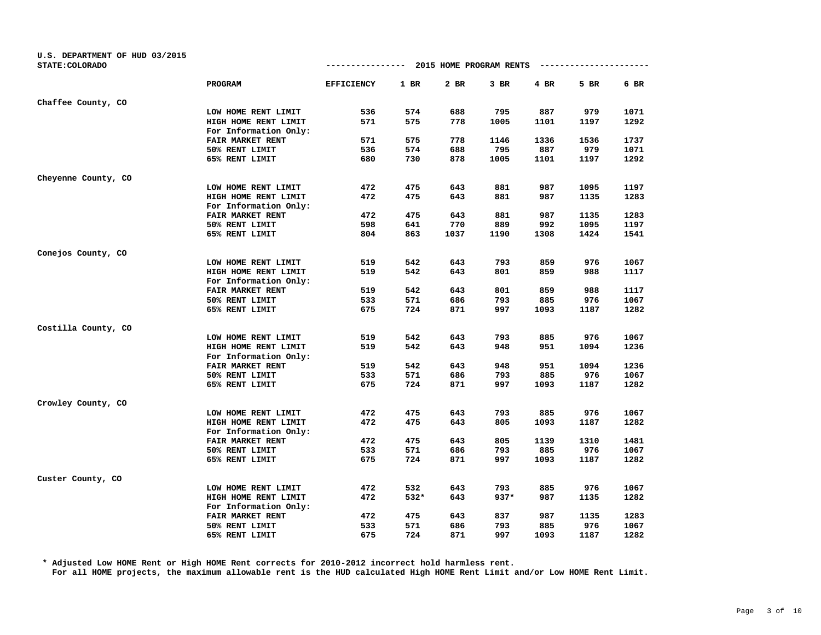| U.S. DEPARTMENT OF HUD 03/2015<br>STATE: COLORADO |                         | ----------------  |        |      | 2015 HOME PROGRAM RENTS |      | ------------ |      |
|---------------------------------------------------|-------------------------|-------------------|--------|------|-------------------------|------|--------------|------|
|                                                   | PROGRAM                 | <b>EFFICIENCY</b> | $1$ BR | 2 BR | 3 BR                    | 4 BR | 5 BR         | 6 BR |
| Chaffee County, CO                                |                         |                   |        |      |                         |      |              |      |
|                                                   | LOW HOME RENT LIMIT     | 536               | 574    | 688  | 795                     | 887  | 979          | 1071 |
|                                                   | HIGH HOME RENT LIMIT    | 571               | 575    | 778  | 1005                    | 1101 | 1197         | 1292 |
|                                                   | For Information Only:   |                   |        |      |                         |      |              |      |
|                                                   | FAIR MARKET RENT        | 571               | 575    | 778  | 1146                    | 1336 | 1536         | 1737 |
|                                                   | 50% RENT LIMIT          | 536               | 574    | 688  | 795                     | 887  | 979          | 1071 |
|                                                   | 65% RENT LIMIT          | 680               | 730    | 878  | 1005                    | 1101 | 1197         | 1292 |
| Cheyenne County, CO                               |                         |                   |        |      |                         |      |              |      |
|                                                   | LOW HOME RENT LIMIT     | 472               | 475    | 643  | 881                     | 987  | 1095         | 1197 |
|                                                   | HIGH HOME RENT LIMIT    | 472               | 475    | 643  | 881                     | 987  | 1135         | 1283 |
|                                                   | For Information Only:   |                   |        |      |                         |      |              |      |
|                                                   | <b>FAIR MARKET RENT</b> | 472               | 475    | 643  | 881                     | 987  | 1135         | 1283 |
|                                                   | 50% RENT LIMIT          | 598               | 641    | 770  | 889                     | 992  | 1095         | 1197 |
|                                                   | 65% RENT LIMIT          | 804               | 863    | 1037 | 1190                    | 1308 | 1424         | 1541 |
| Conejos County, CO                                |                         |                   |        |      |                         |      |              |      |
|                                                   | LOW HOME RENT LIMIT     | 519               | 542    | 643  | 793                     | 859  | 976          | 1067 |
|                                                   | HIGH HOME RENT LIMIT    | 519               | 542    | 643  | 801                     | 859  | 988          | 1117 |
|                                                   | For Information Only:   |                   |        |      |                         |      |              |      |
|                                                   | FAIR MARKET RENT        | 519               | 542    | 643  | 801                     | 859  | 988          | 1117 |
|                                                   | 50% RENT LIMIT          | 533               | 571    | 686  | 793                     | 885  | 976          | 1067 |
|                                                   | 65% RENT LIMIT          | 675               | 724    | 871  | 997                     | 1093 | 1187         | 1282 |
| Costilla County, CO                               |                         |                   |        |      |                         |      |              |      |
|                                                   | LOW HOME RENT LIMIT     | 519               | 542    | 643  | 793                     | 885  | 976          | 1067 |
|                                                   | HIGH HOME RENT LIMIT    | 519               | 542    | 643  | 948                     | 951  | 1094         | 1236 |
|                                                   | For Information Only:   |                   |        |      |                         |      |              |      |
|                                                   | FAIR MARKET RENT        | 519               | 542    | 643  | 948                     | 951  | 1094         | 1236 |
|                                                   | 50% RENT LIMIT          | 533               | 571    | 686  | 793                     | 885  | 976          | 1067 |
|                                                   | 65% RENT LIMIT          | 675               | 724    | 871  | 997                     | 1093 | 1187         | 1282 |
| Crowley County, CO                                |                         |                   |        |      |                         |      |              |      |
|                                                   | LOW HOME RENT LIMIT     | 472               | 475    | 643  | 793                     | 885  | 976          | 1067 |
|                                                   | HIGH HOME RENT LIMIT    | 472               | 475    | 643  | 805                     | 1093 | 1187         | 1282 |
|                                                   | For Information Only:   |                   |        |      |                         |      |              |      |
|                                                   | FAIR MARKET RENT        | 472               | 475    | 643  | 805                     | 1139 | 1310         | 1481 |
|                                                   | 50% RENT LIMIT          | 533               | 571    | 686  | 793                     | 885  | 976          | 1067 |
|                                                   | 65% RENT LIMIT          | 675               | 724    | 871  | 997                     | 1093 | 1187         | 1282 |
| Custer County, CO                                 |                         |                   |        |      |                         |      |              |      |
|                                                   | LOW HOME RENT LIMIT     | 472               | 532    | 643  | 793                     | 885  | 976          | 1067 |
|                                                   | HIGH HOME RENT LIMIT    | 472               | 532*   | 643  | $937*$                  | 987  | 1135         | 1282 |
|                                                   | For Information Only:   |                   |        |      |                         |      |              |      |
|                                                   | FAIR MARKET RENT        | 472               | 475    | 643  | 837                     | 987  | 1135         | 1283 |
|                                                   | 50% RENT LIMIT          | 533               | 571    | 686  | 793                     | 885  | 976          | 1067 |
|                                                   | 65% RENT LIMIT          | 675               | 724    | 871  | 997                     | 1093 | 1187         | 1282 |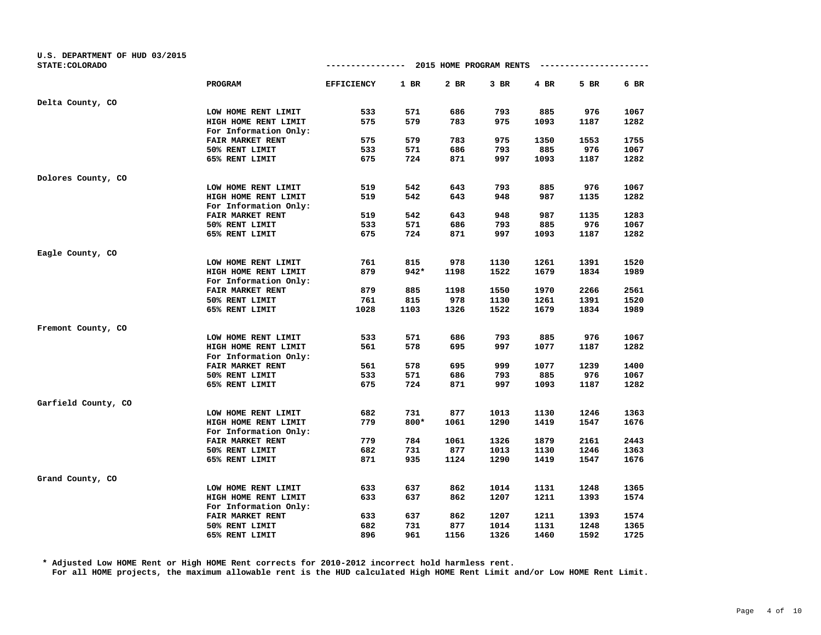| U.S. DEPARTMENT OF HUD 03/2015<br>STATE: COLORADO |                       | ----------------  |        |      | 2015 HOME PROGRAM RENTS |      | --------------- |      |
|---------------------------------------------------|-----------------------|-------------------|--------|------|-------------------------|------|-----------------|------|
|                                                   |                       |                   |        |      |                         |      |                 |      |
|                                                   | PROGRAM               | <b>EFFICIENCY</b> | $1$ BR | 2 BR | $3$ BR                  | 4 BR | 5 BR            | 6 BR |
| Delta County, CO                                  |                       |                   |        |      |                         |      |                 |      |
|                                                   | LOW HOME RENT LIMIT   | 533               | 571    | 686  | 793                     | 885  | 976             | 1067 |
|                                                   | HIGH HOME RENT LIMIT  | 575               | 579    | 783  | 975                     | 1093 | 1187            | 1282 |
|                                                   | For Information Only: |                   |        |      |                         |      |                 |      |
|                                                   | FAIR MARKET RENT      | 575               | 579    | 783  | 975                     | 1350 | 1553            | 1755 |
|                                                   | 50% RENT LIMIT        | 533               | 571    | 686  | 793                     | 885  | 976             | 1067 |
|                                                   | 65% RENT LIMIT        | 675               | 724    | 871  | 997                     | 1093 | 1187            | 1282 |
| Dolores County, CO                                |                       |                   |        |      |                         |      |                 |      |
|                                                   | LOW HOME RENT LIMIT   | 519               | 542    | 643  | 793                     | 885  | 976             | 1067 |
|                                                   | HIGH HOME RENT LIMIT  | 519               | 542    | 643  | 948                     | 987  | 1135            | 1282 |
|                                                   | For Information Only: |                   |        |      |                         |      |                 |      |
|                                                   | FAIR MARKET RENT      | 519               | 542    | 643  | 948                     | 987  | 1135            | 1283 |
|                                                   | 50% RENT LIMIT        | 533               | 571    | 686  | 793                     | 885  | 976             | 1067 |
|                                                   | 65% RENT LIMIT        | 675               | 724    | 871  | 997                     | 1093 | 1187            | 1282 |
| Eagle County, CO                                  |                       |                   |        |      |                         |      |                 |      |
|                                                   | LOW HOME RENT LIMIT   | 761               | 815    | 978  | 1130                    | 1261 | 1391            | 1520 |
|                                                   | HIGH HOME RENT LIMIT  | 879               | $942*$ | 1198 | 1522                    | 1679 | 1834            | 1989 |
|                                                   | For Information Only: |                   |        |      |                         |      |                 |      |
|                                                   | FAIR MARKET RENT      | 879               | 885    | 1198 | 1550                    | 1970 | 2266            | 2561 |
|                                                   | 50% RENT LIMIT        | 761               | 815    | 978  | 1130                    | 1261 | 1391            | 1520 |
|                                                   | 65% RENT LIMIT        | 1028              | 1103   | 1326 | 1522                    | 1679 | 1834            | 1989 |
| Fremont County, CO                                |                       |                   |        |      |                         |      |                 |      |
|                                                   | LOW HOME RENT LIMIT   | 533               | 571    | 686  | 793                     | 885  | 976             | 1067 |
|                                                   | HIGH HOME RENT LIMIT  | 561               | 578    | 695  | 997                     | 1077 | 1187            | 1282 |
|                                                   | For Information Only: |                   |        |      |                         |      |                 |      |
|                                                   | FAIR MARKET RENT      | 561               | 578    | 695  | 999                     | 1077 | 1239            | 1400 |
|                                                   | 50% RENT LIMIT        | 533               | 571    | 686  | 793                     | 885  | 976             | 1067 |
|                                                   | 65% RENT LIMIT        | 675               | 724    | 871  | 997                     | 1093 | 1187            | 1282 |
| Garfield County, CO                               |                       |                   |        |      |                         |      |                 |      |
|                                                   | LOW HOME RENT LIMIT   | 682               | 731    | 877  | 1013                    | 1130 | 1246            | 1363 |
|                                                   | HIGH HOME RENT LIMIT  | 779               | 800*   | 1061 | 1290                    | 1419 | 1547            | 1676 |
|                                                   | For Information Only: |                   |        |      |                         |      |                 |      |
|                                                   | FAIR MARKET RENT      | 779               | 784    | 1061 | 1326                    | 1879 | 2161            | 2443 |
|                                                   | 50% RENT LIMIT        | 682               | 731    | 877  | 1013                    | 1130 | 1246            | 1363 |
|                                                   | 65% RENT LIMIT        | 871               | 935    | 1124 | 1290                    | 1419 | 1547            | 1676 |
| Grand County, CO                                  |                       |                   |        |      |                         |      |                 |      |
|                                                   | LOW HOME RENT LIMIT   | 633               | 637    | 862  | 1014                    | 1131 | 1248            | 1365 |
|                                                   | HIGH HOME RENT LIMIT  | 633               | 637    | 862  | 1207                    | 1211 | 1393            | 1574 |
|                                                   | For Information Only: |                   |        |      |                         |      |                 |      |
|                                                   | FAIR MARKET RENT      | 633               | 637    | 862  | 1207                    | 1211 | 1393            | 1574 |
|                                                   | 50% RENT LIMIT        | 682               | 731    | 877  | 1014                    | 1131 | 1248            | 1365 |
|                                                   | 65% RENT LIMIT        | 896               | 961    | 1156 | 1326                    | 1460 | 1592            | 1725 |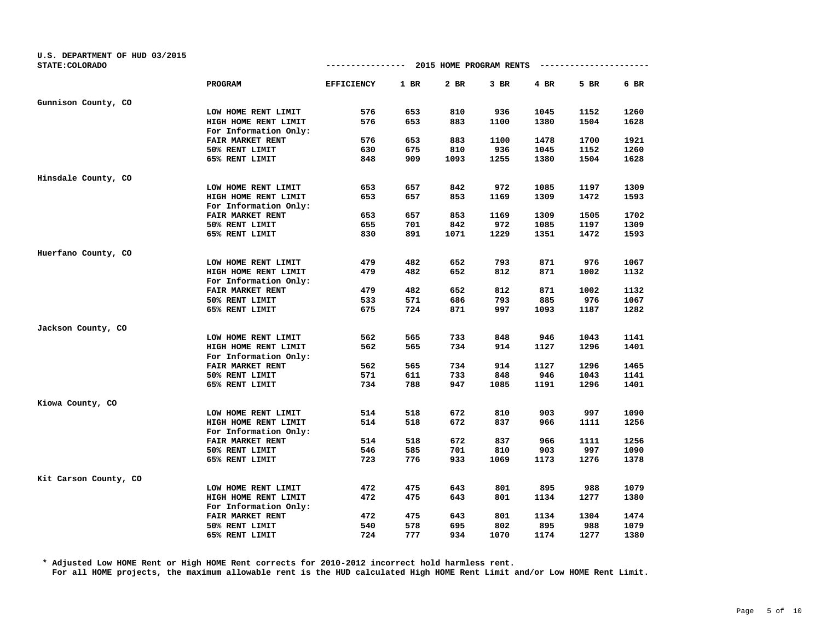| U.S. DEPARTMENT OF HUD 03/2015<br>STATE: COLORADO |                         |                                                                                                                                                                                                                                                                                                                                                                                                                                                                                                                                                                                                                                                                                                                                                                                                                                                                                                                                                                                                                                                                                     |     |     |      |      |      |      |
|---------------------------------------------------|-------------------------|-------------------------------------------------------------------------------------------------------------------------------------------------------------------------------------------------------------------------------------------------------------------------------------------------------------------------------------------------------------------------------------------------------------------------------------------------------------------------------------------------------------------------------------------------------------------------------------------------------------------------------------------------------------------------------------------------------------------------------------------------------------------------------------------------------------------------------------------------------------------------------------------------------------------------------------------------------------------------------------------------------------------------------------------------------------------------------------|-----|-----|------|------|------|------|
|                                                   |                         | 2015 HOME PROGRAM RENTS<br>----------------<br>---------------<br><b>EFFICIENCY</b><br>$1$ BR<br>2 BR<br>$3$ BR<br>4 BR<br>576<br>653<br>810<br>936<br>1045<br>576<br>883<br>653<br>1100<br>1380<br>576<br>653<br>883<br>1100<br>1478<br>936<br>630<br>675<br>810<br>1045<br>848<br>909<br>1093<br>1255<br>1380<br>842<br>653<br>657<br>972<br>1085<br>653<br>657<br>853<br>1169<br>1309<br>653<br>657<br>853<br>1169<br>1309<br>972<br>655<br>701<br>842<br>1085<br>1071<br>1229<br>830<br>891<br>1351<br>871<br>479<br>482<br>652<br>793<br>479<br>871<br>482<br>652<br>812<br>1002<br>479<br>482<br>652<br>812<br>871<br>1002<br>533<br>571<br>686<br>793<br>885<br>675<br>871<br>1093<br>1187<br>724<br>997<br>562<br>565<br>733<br>848<br>946<br>562<br>734<br>914<br>565<br>1127<br>562<br>565<br>734<br>914<br>1127<br>571<br>733<br>946<br>611<br>848<br>734<br>788<br>947<br>1191<br>1085<br>672<br>903<br>514<br>518<br>810<br>514<br>672<br>966<br>518<br>837<br>514<br>518<br>672<br>837<br>966<br>701<br>903<br>546<br>585<br>810<br>723<br>933<br>776<br>1069<br>1173 |     |     |      |      |      |      |
|                                                   | PROGRAM                 |                                                                                                                                                                                                                                                                                                                                                                                                                                                                                                                                                                                                                                                                                                                                                                                                                                                                                                                                                                                                                                                                                     |     |     |      |      | 5 BR | 6 BR |
| Gunnison County, CO                               |                         |                                                                                                                                                                                                                                                                                                                                                                                                                                                                                                                                                                                                                                                                                                                                                                                                                                                                                                                                                                                                                                                                                     |     |     |      |      |      |      |
|                                                   | LOW HOME RENT LIMIT     |                                                                                                                                                                                                                                                                                                                                                                                                                                                                                                                                                                                                                                                                                                                                                                                                                                                                                                                                                                                                                                                                                     |     |     |      |      | 1152 | 1260 |
|                                                   | HIGH HOME RENT LIMIT    |                                                                                                                                                                                                                                                                                                                                                                                                                                                                                                                                                                                                                                                                                                                                                                                                                                                                                                                                                                                                                                                                                     |     |     |      |      | 1504 | 1628 |
|                                                   | For Information Only:   |                                                                                                                                                                                                                                                                                                                                                                                                                                                                                                                                                                                                                                                                                                                                                                                                                                                                                                                                                                                                                                                                                     |     |     |      |      |      |      |
|                                                   | <b>FAIR MARKET RENT</b> |                                                                                                                                                                                                                                                                                                                                                                                                                                                                                                                                                                                                                                                                                                                                                                                                                                                                                                                                                                                                                                                                                     |     |     |      |      | 1700 | 1921 |
|                                                   | 50% RENT LIMIT          |                                                                                                                                                                                                                                                                                                                                                                                                                                                                                                                                                                                                                                                                                                                                                                                                                                                                                                                                                                                                                                                                                     |     |     |      |      | 1152 | 1260 |
|                                                   | 65% RENT LIMIT          |                                                                                                                                                                                                                                                                                                                                                                                                                                                                                                                                                                                                                                                                                                                                                                                                                                                                                                                                                                                                                                                                                     |     |     |      |      | 1504 | 1628 |
| Hinsdale County, CO                               |                         |                                                                                                                                                                                                                                                                                                                                                                                                                                                                                                                                                                                                                                                                                                                                                                                                                                                                                                                                                                                                                                                                                     |     |     |      |      |      |      |
|                                                   | LOW HOME RENT LIMIT     |                                                                                                                                                                                                                                                                                                                                                                                                                                                                                                                                                                                                                                                                                                                                                                                                                                                                                                                                                                                                                                                                                     |     |     |      |      | 1197 | 1309 |
|                                                   | HIGH HOME RENT LIMIT    |                                                                                                                                                                                                                                                                                                                                                                                                                                                                                                                                                                                                                                                                                                                                                                                                                                                                                                                                                                                                                                                                                     |     |     |      |      | 1472 | 1593 |
|                                                   | For Information Only:   |                                                                                                                                                                                                                                                                                                                                                                                                                                                                                                                                                                                                                                                                                                                                                                                                                                                                                                                                                                                                                                                                                     |     |     |      |      |      |      |
|                                                   | FAIR MARKET RENT        |                                                                                                                                                                                                                                                                                                                                                                                                                                                                                                                                                                                                                                                                                                                                                                                                                                                                                                                                                                                                                                                                                     |     |     |      |      | 1505 | 1702 |
|                                                   | 50% RENT LIMIT          |                                                                                                                                                                                                                                                                                                                                                                                                                                                                                                                                                                                                                                                                                                                                                                                                                                                                                                                                                                                                                                                                                     |     |     |      |      | 1197 | 1309 |
|                                                   | 65% RENT LIMIT          |                                                                                                                                                                                                                                                                                                                                                                                                                                                                                                                                                                                                                                                                                                                                                                                                                                                                                                                                                                                                                                                                                     |     |     |      |      | 1472 | 1593 |
|                                                   |                         |                                                                                                                                                                                                                                                                                                                                                                                                                                                                                                                                                                                                                                                                                                                                                                                                                                                                                                                                                                                                                                                                                     |     |     |      |      |      |      |
| Huerfano County, CO                               |                         |                                                                                                                                                                                                                                                                                                                                                                                                                                                                                                                                                                                                                                                                                                                                                                                                                                                                                                                                                                                                                                                                                     |     |     |      |      |      |      |
|                                                   | LOW HOME RENT LIMIT     |                                                                                                                                                                                                                                                                                                                                                                                                                                                                                                                                                                                                                                                                                                                                                                                                                                                                                                                                                                                                                                                                                     |     |     |      |      | 976  | 1067 |
|                                                   | HIGH HOME RENT LIMIT    |                                                                                                                                                                                                                                                                                                                                                                                                                                                                                                                                                                                                                                                                                                                                                                                                                                                                                                                                                                                                                                                                                     |     |     |      |      |      | 1132 |
|                                                   | For Information Only:   |                                                                                                                                                                                                                                                                                                                                                                                                                                                                                                                                                                                                                                                                                                                                                                                                                                                                                                                                                                                                                                                                                     |     |     |      |      |      |      |
|                                                   | FAIR MARKET RENT        |                                                                                                                                                                                                                                                                                                                                                                                                                                                                                                                                                                                                                                                                                                                                                                                                                                                                                                                                                                                                                                                                                     |     |     |      |      |      | 1132 |
|                                                   | 50% RENT LIMIT          |                                                                                                                                                                                                                                                                                                                                                                                                                                                                                                                                                                                                                                                                                                                                                                                                                                                                                                                                                                                                                                                                                     |     |     |      |      | 976  | 1067 |
|                                                   | 65% RENT LIMIT          |                                                                                                                                                                                                                                                                                                                                                                                                                                                                                                                                                                                                                                                                                                                                                                                                                                                                                                                                                                                                                                                                                     |     |     |      |      |      | 1282 |
| Jackson County, CO                                |                         |                                                                                                                                                                                                                                                                                                                                                                                                                                                                                                                                                                                                                                                                                                                                                                                                                                                                                                                                                                                                                                                                                     |     |     |      |      |      |      |
|                                                   | LOW HOME RENT LIMIT     |                                                                                                                                                                                                                                                                                                                                                                                                                                                                                                                                                                                                                                                                                                                                                                                                                                                                                                                                                                                                                                                                                     |     |     |      |      | 1043 | 1141 |
|                                                   | HIGH HOME RENT LIMIT    |                                                                                                                                                                                                                                                                                                                                                                                                                                                                                                                                                                                                                                                                                                                                                                                                                                                                                                                                                                                                                                                                                     |     |     |      |      | 1296 | 1401 |
|                                                   | For Information Only:   |                                                                                                                                                                                                                                                                                                                                                                                                                                                                                                                                                                                                                                                                                                                                                                                                                                                                                                                                                                                                                                                                                     |     |     |      |      |      |      |
|                                                   | FAIR MARKET RENT        |                                                                                                                                                                                                                                                                                                                                                                                                                                                                                                                                                                                                                                                                                                                                                                                                                                                                                                                                                                                                                                                                                     |     |     |      |      | 1296 | 1465 |
|                                                   | 50% RENT LIMIT          |                                                                                                                                                                                                                                                                                                                                                                                                                                                                                                                                                                                                                                                                                                                                                                                                                                                                                                                                                                                                                                                                                     |     |     |      |      | 1043 | 1141 |
|                                                   | 65% RENT LIMIT          |                                                                                                                                                                                                                                                                                                                                                                                                                                                                                                                                                                                                                                                                                                                                                                                                                                                                                                                                                                                                                                                                                     |     |     |      |      | 1296 | 1401 |
| Kiowa County, CO                                  |                         |                                                                                                                                                                                                                                                                                                                                                                                                                                                                                                                                                                                                                                                                                                                                                                                                                                                                                                                                                                                                                                                                                     |     |     |      |      |      |      |
|                                                   | LOW HOME RENT LIMIT     |                                                                                                                                                                                                                                                                                                                                                                                                                                                                                                                                                                                                                                                                                                                                                                                                                                                                                                                                                                                                                                                                                     |     |     |      |      | 997  | 1090 |
|                                                   | HIGH HOME RENT LIMIT    |                                                                                                                                                                                                                                                                                                                                                                                                                                                                                                                                                                                                                                                                                                                                                                                                                                                                                                                                                                                                                                                                                     |     |     |      |      | 1111 | 1256 |
|                                                   | For Information Only:   |                                                                                                                                                                                                                                                                                                                                                                                                                                                                                                                                                                                                                                                                                                                                                                                                                                                                                                                                                                                                                                                                                     |     |     |      |      |      |      |
|                                                   | FAIR MARKET RENT        |                                                                                                                                                                                                                                                                                                                                                                                                                                                                                                                                                                                                                                                                                                                                                                                                                                                                                                                                                                                                                                                                                     |     |     |      |      | 1111 | 1256 |
|                                                   | 50% RENT LIMIT          |                                                                                                                                                                                                                                                                                                                                                                                                                                                                                                                                                                                                                                                                                                                                                                                                                                                                                                                                                                                                                                                                                     |     |     |      |      | 997  | 1090 |
|                                                   | 65% RENT LIMIT          |                                                                                                                                                                                                                                                                                                                                                                                                                                                                                                                                                                                                                                                                                                                                                                                                                                                                                                                                                                                                                                                                                     |     |     |      |      | 1276 | 1378 |
| Kit Carson County, CO                             |                         |                                                                                                                                                                                                                                                                                                                                                                                                                                                                                                                                                                                                                                                                                                                                                                                                                                                                                                                                                                                                                                                                                     |     |     |      |      |      |      |
|                                                   | LOW HOME RENT LIMIT     | 472                                                                                                                                                                                                                                                                                                                                                                                                                                                                                                                                                                                                                                                                                                                                                                                                                                                                                                                                                                                                                                                                                 | 475 | 643 | 801  | 895  | 988  | 1079 |
|                                                   | HIGH HOME RENT LIMIT    | 472                                                                                                                                                                                                                                                                                                                                                                                                                                                                                                                                                                                                                                                                                                                                                                                                                                                                                                                                                                                                                                                                                 | 475 | 643 | 801  | 1134 | 1277 | 1380 |
|                                                   | For Information Only:   |                                                                                                                                                                                                                                                                                                                                                                                                                                                                                                                                                                                                                                                                                                                                                                                                                                                                                                                                                                                                                                                                                     |     |     |      |      |      |      |
|                                                   | FAIR MARKET RENT        | 472                                                                                                                                                                                                                                                                                                                                                                                                                                                                                                                                                                                                                                                                                                                                                                                                                                                                                                                                                                                                                                                                                 | 475 | 643 | 801  | 1134 | 1304 | 1474 |
|                                                   | 50% RENT LIMIT          | 540                                                                                                                                                                                                                                                                                                                                                                                                                                                                                                                                                                                                                                                                                                                                                                                                                                                                                                                                                                                                                                                                                 | 578 | 695 | 802  | 895  | 988  | 1079 |
|                                                   | 65% RENT LIMIT          | 724                                                                                                                                                                                                                                                                                                                                                                                                                                                                                                                                                                                                                                                                                                                                                                                                                                                                                                                                                                                                                                                                                 | 777 | 934 | 1070 | 1174 | 1277 | 1380 |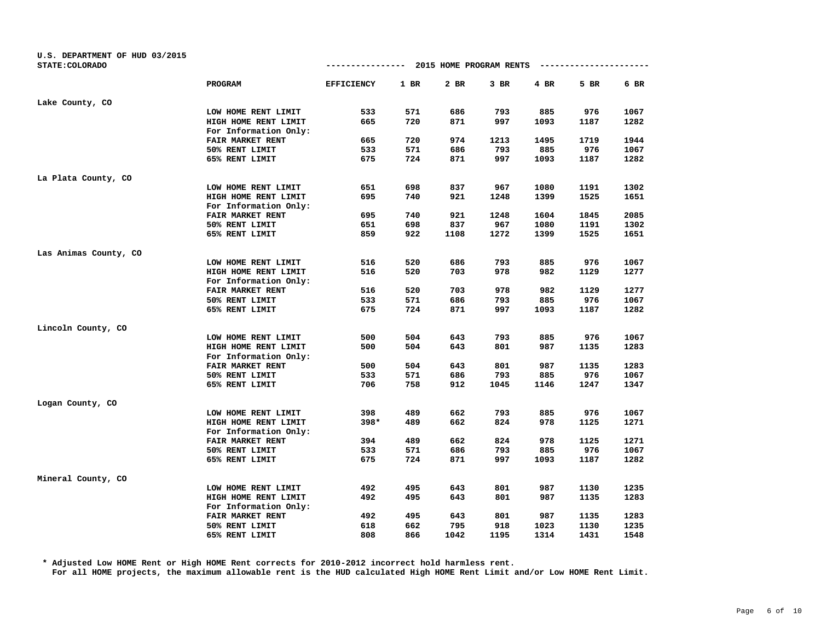| U.S. DEPARTMENT OF HUD 03/2015<br>STATE: COLORADO |                                  |                                                                                                                                                                                                                                                                                                                                                                                                                                                                                                                                                                                                                                                                                                                                                                                                                                                                                                                                                                                                                                                                                                                                                |     |      |      |      |      |              |
|---------------------------------------------------|----------------------------------|------------------------------------------------------------------------------------------------------------------------------------------------------------------------------------------------------------------------------------------------------------------------------------------------------------------------------------------------------------------------------------------------------------------------------------------------------------------------------------------------------------------------------------------------------------------------------------------------------------------------------------------------------------------------------------------------------------------------------------------------------------------------------------------------------------------------------------------------------------------------------------------------------------------------------------------------------------------------------------------------------------------------------------------------------------------------------------------------------------------------------------------------|-----|------|------|------|------|--------------|
|                                                   |                                  | 2015 HOME PROGRAM RENTS<br>----------------<br>------------<br><b>EFFICIENCY</b><br>$1$ BR<br>2 BR<br>$3$ BR<br>4 BR<br>533<br>571<br>686<br>793<br>885<br>665<br>720<br>871<br>997<br>1093<br>974<br>665<br>720<br>1213<br>1495<br>793<br>885<br>533<br>571<br>686<br>675<br>724<br>871<br>997<br>1093<br>698<br>651<br>837<br>967<br>1080<br>1191<br>695<br>740<br>921<br>1248<br>1399<br>1525<br>695<br>740<br>921<br>1248<br>1604<br>1845<br>651<br>698<br>837<br>967<br>1080<br>1191<br>1108<br>1272<br>859<br>922<br>1399<br>516<br>520<br>686<br>793<br>885<br>976<br>516<br>982<br>520<br>703<br>978<br>1129<br>520<br>703<br>978<br>982<br>516<br>1129<br>533<br>571<br>686<br>793<br>885<br>976<br>675<br>871<br>1093<br>1187<br>724<br>997<br>500<br>504<br>643<br>793<br>885<br>500<br>643<br>987<br>504<br>801<br>500<br>504<br>643<br>801<br>987<br>1135<br>686<br>793<br>885<br>976<br>533<br>571<br>706<br>912<br>758<br>1045<br>1146<br>1247<br>489<br>662<br>885<br>398<br>793<br>398*<br>662<br>978<br>489<br>824<br>978<br>394<br>489<br>662<br>824<br>686<br>885<br>533<br>571<br>793<br>675<br>871<br>724<br>997<br>1093 |     |      |      |      |      |              |
|                                                   | PROGRAM                          |                                                                                                                                                                                                                                                                                                                                                                                                                                                                                                                                                                                                                                                                                                                                                                                                                                                                                                                                                                                                                                                                                                                                                |     |      |      |      | 5 BR | 6 BR         |
| Lake County, CO                                   |                                  |                                                                                                                                                                                                                                                                                                                                                                                                                                                                                                                                                                                                                                                                                                                                                                                                                                                                                                                                                                                                                                                                                                                                                |     |      |      |      |      |              |
|                                                   | LOW HOME RENT LIMIT              |                                                                                                                                                                                                                                                                                                                                                                                                                                                                                                                                                                                                                                                                                                                                                                                                                                                                                                                                                                                                                                                                                                                                                |     |      |      |      | 976  | 1067         |
|                                                   | HIGH HOME RENT LIMIT             |                                                                                                                                                                                                                                                                                                                                                                                                                                                                                                                                                                                                                                                                                                                                                                                                                                                                                                                                                                                                                                                                                                                                                |     |      |      |      | 1187 | 1282         |
|                                                   | For Information Only:            |                                                                                                                                                                                                                                                                                                                                                                                                                                                                                                                                                                                                                                                                                                                                                                                                                                                                                                                                                                                                                                                                                                                                                |     |      |      |      |      |              |
|                                                   | FAIR MARKET RENT                 |                                                                                                                                                                                                                                                                                                                                                                                                                                                                                                                                                                                                                                                                                                                                                                                                                                                                                                                                                                                                                                                                                                                                                |     |      |      |      | 1719 | 1944         |
|                                                   | 50% RENT LIMIT                   |                                                                                                                                                                                                                                                                                                                                                                                                                                                                                                                                                                                                                                                                                                                                                                                                                                                                                                                                                                                                                                                                                                                                                |     |      |      |      | 976  | 1067         |
|                                                   | 65% RENT LIMIT                   |                                                                                                                                                                                                                                                                                                                                                                                                                                                                                                                                                                                                                                                                                                                                                                                                                                                                                                                                                                                                                                                                                                                                                |     |      |      |      | 1187 | 1282         |
| La Plata County, CO                               |                                  |                                                                                                                                                                                                                                                                                                                                                                                                                                                                                                                                                                                                                                                                                                                                                                                                                                                                                                                                                                                                                                                                                                                                                |     |      |      |      |      |              |
|                                                   | LOW HOME RENT LIMIT              |                                                                                                                                                                                                                                                                                                                                                                                                                                                                                                                                                                                                                                                                                                                                                                                                                                                                                                                                                                                                                                                                                                                                                |     |      |      |      |      | 1302         |
|                                                   | HIGH HOME RENT LIMIT             |                                                                                                                                                                                                                                                                                                                                                                                                                                                                                                                                                                                                                                                                                                                                                                                                                                                                                                                                                                                                                                                                                                                                                |     |      |      |      |      | 1651         |
|                                                   | For Information Only:            |                                                                                                                                                                                                                                                                                                                                                                                                                                                                                                                                                                                                                                                                                                                                                                                                                                                                                                                                                                                                                                                                                                                                                |     |      |      |      |      |              |
|                                                   | FAIR MARKET RENT                 |                                                                                                                                                                                                                                                                                                                                                                                                                                                                                                                                                                                                                                                                                                                                                                                                                                                                                                                                                                                                                                                                                                                                                |     |      |      |      |      | 2085         |
|                                                   | 50% RENT LIMIT                   |                                                                                                                                                                                                                                                                                                                                                                                                                                                                                                                                                                                                                                                                                                                                                                                                                                                                                                                                                                                                                                                                                                                                                |     |      |      |      |      | 1302         |
|                                                   | 65% RENT LIMIT                   |                                                                                                                                                                                                                                                                                                                                                                                                                                                                                                                                                                                                                                                                                                                                                                                                                                                                                                                                                                                                                                                                                                                                                |     |      |      |      | 1525 | 1651         |
|                                                   |                                  |                                                                                                                                                                                                                                                                                                                                                                                                                                                                                                                                                                                                                                                                                                                                                                                                                                                                                                                                                                                                                                                                                                                                                |     |      |      |      |      |              |
| Las Animas County, CO                             |                                  |                                                                                                                                                                                                                                                                                                                                                                                                                                                                                                                                                                                                                                                                                                                                                                                                                                                                                                                                                                                                                                                                                                                                                |     |      |      |      |      |              |
|                                                   | LOW HOME RENT LIMIT              |                                                                                                                                                                                                                                                                                                                                                                                                                                                                                                                                                                                                                                                                                                                                                                                                                                                                                                                                                                                                                                                                                                                                                |     |      |      |      |      | 1067         |
|                                                   | HIGH HOME RENT LIMIT             |                                                                                                                                                                                                                                                                                                                                                                                                                                                                                                                                                                                                                                                                                                                                                                                                                                                                                                                                                                                                                                                                                                                                                |     |      |      |      |      | 1277         |
|                                                   | For Information Only:            |                                                                                                                                                                                                                                                                                                                                                                                                                                                                                                                                                                                                                                                                                                                                                                                                                                                                                                                                                                                                                                                                                                                                                |     |      |      |      |      |              |
|                                                   | FAIR MARKET RENT                 |                                                                                                                                                                                                                                                                                                                                                                                                                                                                                                                                                                                                                                                                                                                                                                                                                                                                                                                                                                                                                                                                                                                                                |     |      |      |      |      | 1277         |
|                                                   | 50% RENT LIMIT<br>65% RENT LIMIT |                                                                                                                                                                                                                                                                                                                                                                                                                                                                                                                                                                                                                                                                                                                                                                                                                                                                                                                                                                                                                                                                                                                                                |     |      |      |      |      | 1067<br>1282 |
|                                                   |                                  |                                                                                                                                                                                                                                                                                                                                                                                                                                                                                                                                                                                                                                                                                                                                                                                                                                                                                                                                                                                                                                                                                                                                                |     |      |      |      |      |              |
| Lincoln County, CO                                |                                  |                                                                                                                                                                                                                                                                                                                                                                                                                                                                                                                                                                                                                                                                                                                                                                                                                                                                                                                                                                                                                                                                                                                                                |     |      |      |      |      |              |
|                                                   | LOW HOME RENT LIMIT              |                                                                                                                                                                                                                                                                                                                                                                                                                                                                                                                                                                                                                                                                                                                                                                                                                                                                                                                                                                                                                                                                                                                                                |     |      |      |      | 976  | 1067         |
|                                                   | HIGH HOME RENT LIMIT             |                                                                                                                                                                                                                                                                                                                                                                                                                                                                                                                                                                                                                                                                                                                                                                                                                                                                                                                                                                                                                                                                                                                                                |     |      |      |      | 1135 | 1283         |
|                                                   | For Information Only:            |                                                                                                                                                                                                                                                                                                                                                                                                                                                                                                                                                                                                                                                                                                                                                                                                                                                                                                                                                                                                                                                                                                                                                |     |      |      |      |      |              |
|                                                   | FAIR MARKET RENT                 |                                                                                                                                                                                                                                                                                                                                                                                                                                                                                                                                                                                                                                                                                                                                                                                                                                                                                                                                                                                                                                                                                                                                                |     |      |      |      |      | 1283         |
|                                                   | 50% RENT LIMIT                   |                                                                                                                                                                                                                                                                                                                                                                                                                                                                                                                                                                                                                                                                                                                                                                                                                                                                                                                                                                                                                                                                                                                                                |     |      |      |      |      | 1067         |
|                                                   | 65% RENT LIMIT                   |                                                                                                                                                                                                                                                                                                                                                                                                                                                                                                                                                                                                                                                                                                                                                                                                                                                                                                                                                                                                                                                                                                                                                |     |      |      |      |      | 1347         |
| Logan County, CO                                  |                                  |                                                                                                                                                                                                                                                                                                                                                                                                                                                                                                                                                                                                                                                                                                                                                                                                                                                                                                                                                                                                                                                                                                                                                |     |      |      |      |      |              |
|                                                   | LOW HOME RENT LIMIT              |                                                                                                                                                                                                                                                                                                                                                                                                                                                                                                                                                                                                                                                                                                                                                                                                                                                                                                                                                                                                                                                                                                                                                |     |      |      |      | 976  | 1067         |
|                                                   | HIGH HOME RENT LIMIT             |                                                                                                                                                                                                                                                                                                                                                                                                                                                                                                                                                                                                                                                                                                                                                                                                                                                                                                                                                                                                                                                                                                                                                |     |      |      |      | 1125 | 1271         |
|                                                   | For Information Only:            |                                                                                                                                                                                                                                                                                                                                                                                                                                                                                                                                                                                                                                                                                                                                                                                                                                                                                                                                                                                                                                                                                                                                                |     |      |      |      |      |              |
|                                                   | FAIR MARKET RENT                 |                                                                                                                                                                                                                                                                                                                                                                                                                                                                                                                                                                                                                                                                                                                                                                                                                                                                                                                                                                                                                                                                                                                                                |     |      |      |      | 1125 | 1271         |
|                                                   | 50% RENT LIMIT                   |                                                                                                                                                                                                                                                                                                                                                                                                                                                                                                                                                                                                                                                                                                                                                                                                                                                                                                                                                                                                                                                                                                                                                |     |      |      |      | 976  | 1067         |
|                                                   | 65% RENT LIMIT                   |                                                                                                                                                                                                                                                                                                                                                                                                                                                                                                                                                                                                                                                                                                                                                                                                                                                                                                                                                                                                                                                                                                                                                |     |      |      |      | 1187 | 1282         |
| Mineral County, CO                                |                                  |                                                                                                                                                                                                                                                                                                                                                                                                                                                                                                                                                                                                                                                                                                                                                                                                                                                                                                                                                                                                                                                                                                                                                |     |      |      |      |      |              |
|                                                   | LOW HOME RENT LIMIT              | 492                                                                                                                                                                                                                                                                                                                                                                                                                                                                                                                                                                                                                                                                                                                                                                                                                                                                                                                                                                                                                                                                                                                                            | 495 | 643  | 801  | 987  | 1130 | 1235         |
|                                                   | HIGH HOME RENT LIMIT             | 492                                                                                                                                                                                                                                                                                                                                                                                                                                                                                                                                                                                                                                                                                                                                                                                                                                                                                                                                                                                                                                                                                                                                            | 495 | 643  | 801  | 987  | 1135 | 1283         |
|                                                   | For Information Only:            |                                                                                                                                                                                                                                                                                                                                                                                                                                                                                                                                                                                                                                                                                                                                                                                                                                                                                                                                                                                                                                                                                                                                                |     |      |      |      |      |              |
|                                                   | FAIR MARKET RENT                 | 492                                                                                                                                                                                                                                                                                                                                                                                                                                                                                                                                                                                                                                                                                                                                                                                                                                                                                                                                                                                                                                                                                                                                            | 495 | 643  | 801  | 987  | 1135 | 1283         |
|                                                   | 50% RENT LIMIT                   | 618                                                                                                                                                                                                                                                                                                                                                                                                                                                                                                                                                                                                                                                                                                                                                                                                                                                                                                                                                                                                                                                                                                                                            | 662 | 795  | 918  | 1023 | 1130 | 1235         |
|                                                   | 65% RENT LIMIT                   | 808                                                                                                                                                                                                                                                                                                                                                                                                                                                                                                                                                                                                                                                                                                                                                                                                                                                                                                                                                                                                                                                                                                                                            | 866 | 1042 | 1195 | 1314 | 1431 | 1548         |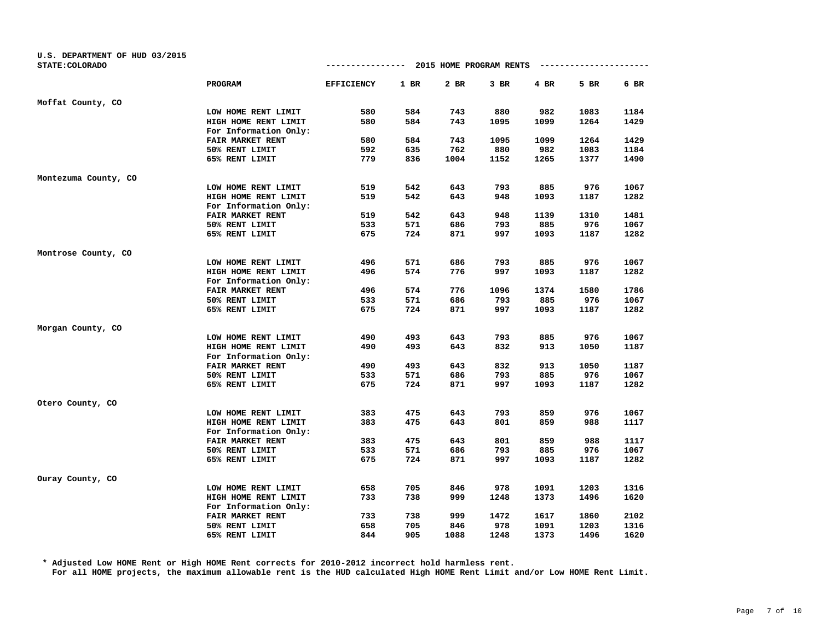| U.S. DEPARTMENT OF HUD 03/2015<br>STATE: COLORADO |                         | ----------------  |        | 2015 HOME PROGRAM RENTS |      |      | --------------- |      |
|---------------------------------------------------|-------------------------|-------------------|--------|-------------------------|------|------|-----------------|------|
|                                                   |                         |                   |        |                         |      |      |                 |      |
|                                                   | PROGRAM                 | <b>EFFICIENCY</b> | $1$ BR | 2 BR                    | 3 BR | 4 BR | 5 BR            | 6 BR |
| Moffat County, CO                                 |                         |                   |        |                         |      |      |                 |      |
|                                                   | LOW HOME RENT LIMIT     | 580               | 584    | 743                     | 880  | 982  | 1083            | 1184 |
|                                                   | HIGH HOME RENT LIMIT    | 580               | 584    | 743                     | 1095 | 1099 | 1264            | 1429 |
|                                                   | For Information Only:   |                   |        |                         |      |      |                 |      |
|                                                   | <b>FAIR MARKET RENT</b> | 580               | 584    | 743                     | 1095 | 1099 | 1264            | 1429 |
|                                                   | 50% RENT LIMIT          | 592               | 635    | 762                     | 880  | 982  | 1083            | 1184 |
|                                                   | 65% RENT LIMIT          | 779               | 836    | 1004                    | 1152 | 1265 | 1377            | 1490 |
| Montezuma County, CO                              |                         |                   |        |                         |      |      |                 |      |
|                                                   | LOW HOME RENT LIMIT     | 519               | 542    | 643                     | 793  | 885  | 976             | 1067 |
|                                                   | HIGH HOME RENT LIMIT    | 519               | 542    | 643                     | 948  | 1093 | 1187            | 1282 |
|                                                   | For Information Only:   |                   |        |                         |      |      |                 |      |
|                                                   | FAIR MARKET RENT        | 519               | 542    | 643                     | 948  | 1139 | 1310            | 1481 |
|                                                   | 50% RENT LIMIT          | 533               | 571    | 686                     | 793  | 885  | 976             | 1067 |
|                                                   | 65% RENT LIMIT          | 675               | 724    | 871                     | 997  | 1093 | 1187            | 1282 |
| Montrose County, CO                               |                         |                   |        |                         |      |      |                 |      |
|                                                   | LOW HOME RENT LIMIT     | 496               | 571    | 686                     | 793  | 885  | 976             | 1067 |
|                                                   | HIGH HOME RENT LIMIT    | 496               | 574    | 776                     | 997  | 1093 | 1187            | 1282 |
|                                                   | For Information Only:   |                   |        |                         |      |      |                 |      |
|                                                   | FAIR MARKET RENT        | 496               | 574    | 776                     | 1096 | 1374 | 1580            | 1786 |
|                                                   | 50% RENT LIMIT          | 533               | 571    | 686                     | 793  | 885  | 976             | 1067 |
|                                                   | 65% RENT LIMIT          | 675               | 724    | 871                     | 997  | 1093 | 1187            | 1282 |
| Morgan County, CO                                 |                         |                   |        |                         |      |      |                 |      |
|                                                   | LOW HOME RENT LIMIT     | 490               | 493    | 643                     | 793  | 885  | 976             | 1067 |
|                                                   | HIGH HOME RENT LIMIT    | 490               | 493    | 643                     | 832  | 913  | 1050            | 1187 |
|                                                   | For Information Only:   |                   |        |                         |      |      |                 |      |
|                                                   | FAIR MARKET RENT        | 490               | 493    | 643                     | 832  | 913  | 1050            | 1187 |
|                                                   | 50% RENT LIMIT          | 533               | 571    | 686                     | 793  | 885  | 976             | 1067 |
|                                                   | 65% RENT LIMIT          | 675               | 724    | 871                     | 997  | 1093 | 1187            | 1282 |
| Otero County, CO                                  |                         |                   |        |                         |      |      |                 |      |
|                                                   | LOW HOME RENT LIMIT     | 383               | 475    | 643                     | 793  | 859  | 976             | 1067 |
|                                                   | HIGH HOME RENT LIMIT    | 383               | 475    | 643                     | 801  | 859  | 988             | 1117 |
|                                                   | For Information Only:   |                   |        |                         |      |      |                 |      |
|                                                   | FAIR MARKET RENT        | 383               | 475    | 643                     | 801  | 859  | 988             | 1117 |
|                                                   | 50% RENT LIMIT          | 533               | 571    | 686                     | 793  | 885  | 976             | 1067 |
|                                                   | 65% RENT LIMIT          | 675               | 724    | 871                     | 997  | 1093 | 1187            | 1282 |
| Ouray County, CO                                  |                         |                   |        |                         |      |      |                 |      |
|                                                   | LOW HOME RENT LIMIT     | 658               | 705    | 846                     | 978  | 1091 | 1203            | 1316 |
|                                                   | HIGH HOME RENT LIMIT    | 733               | 738    | 999                     | 1248 | 1373 | 1496            | 1620 |
|                                                   | For Information Only:   |                   |        |                         |      |      |                 |      |
|                                                   | FAIR MARKET RENT        | 733               | 738    | 999                     | 1472 | 1617 | 1860            | 2102 |
|                                                   | 50% RENT LIMIT          | 658               | 705    | 846                     | 978  | 1091 | 1203            | 1316 |
|                                                   | 65% RENT LIMIT          | 844               | 905    | 1088                    | 1248 | 1373 | 1496            | 1620 |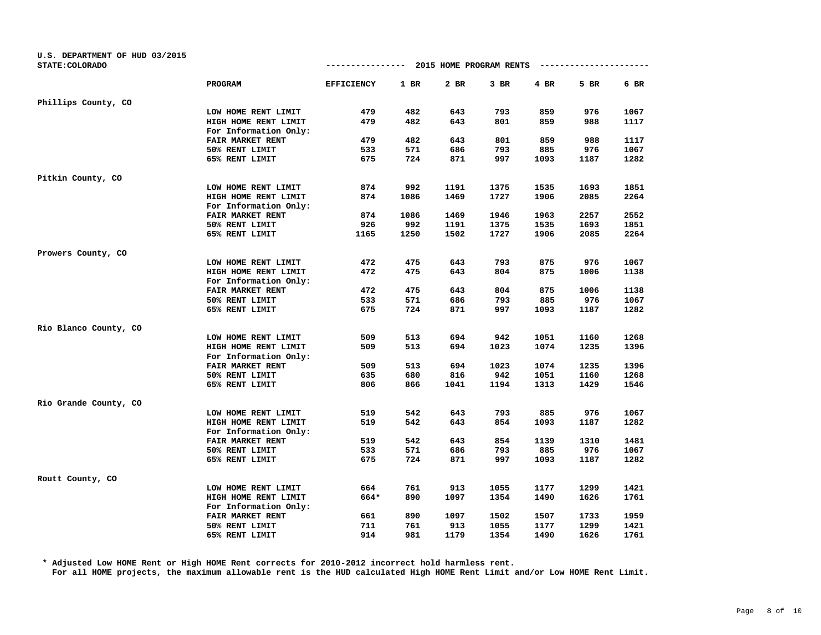| U.S. DEPARTMENT OF HUD 03/2015<br>STATE: COLORADO |                         | ----------------  |        | 2015 HOME PROGRAM RENTS |      |      | ----------- |      |
|---------------------------------------------------|-------------------------|-------------------|--------|-------------------------|------|------|-------------|------|
|                                                   |                         |                   |        |                         |      |      |             |      |
|                                                   | PROGRAM                 | <b>EFFICIENCY</b> | $1$ BR | 2 BR                    | 3 BR | 4 BR | 5 BR        | 6 BR |
| Phillips County, CO                               |                         |                   |        |                         |      |      |             |      |
|                                                   | LOW HOME RENT LIMIT     | 479               | 482    | 643                     | 793  | 859  | 976         | 1067 |
|                                                   | HIGH HOME RENT LIMIT    | 479               | 482    | 643                     | 801  | 859  | 988         | 1117 |
|                                                   | For Information Only:   |                   |        |                         |      |      |             |      |
|                                                   | <b>FAIR MARKET RENT</b> | 479               | 482    | 643                     | 801  | 859  | 988         | 1117 |
|                                                   | 50% RENT LIMIT          | 533               | 571    | 686                     | 793  | 885  | 976         | 1067 |
|                                                   | 65% RENT LIMIT          | 675               | 724    | 871                     | 997  | 1093 | 1187        | 1282 |
| Pitkin County, CO                                 |                         |                   |        |                         |      |      |             |      |
|                                                   | LOW HOME RENT LIMIT     | 874               | 992    | 1191                    | 1375 | 1535 | 1693        | 1851 |
|                                                   | HIGH HOME RENT LIMIT    | 874               | 1086   | 1469                    | 1727 | 1906 | 2085        | 2264 |
|                                                   | For Information Only:   |                   |        |                         |      |      |             |      |
|                                                   | FAIR MARKET RENT        | 874               | 1086   | 1469                    | 1946 | 1963 | 2257        | 2552 |
|                                                   | 50% RENT LIMIT          | 926               | 992    | 1191                    | 1375 | 1535 | 1693        | 1851 |
|                                                   | 65% RENT LIMIT          | 1165              | 1250   | 1502                    | 1727 | 1906 | 2085        | 2264 |
| Prowers County, CO                                |                         |                   |        |                         |      |      |             |      |
|                                                   | LOW HOME RENT LIMIT     | 472               | 475    | 643                     | 793  | 875  | 976         | 1067 |
|                                                   | HIGH HOME RENT LIMIT    | 472               | 475    | 643                     | 804  | 875  | 1006        | 1138 |
|                                                   | For Information Only:   |                   |        |                         |      |      |             |      |
|                                                   | FAIR MARKET RENT        | 472               | 475    | 643                     | 804  | 875  | 1006        | 1138 |
|                                                   | 50% RENT LIMIT          | 533               | 571    | 686                     | 793  | 885  | 976         | 1067 |
|                                                   | 65% RENT LIMIT          | 675               | 724    | 871                     | 997  | 1093 | 1187        | 1282 |
| Rio Blanco County, CO                             |                         |                   |        |                         |      |      |             |      |
|                                                   | LOW HOME RENT LIMIT     | 509               | 513    | 694                     | 942  | 1051 | 1160        | 1268 |
|                                                   | HIGH HOME RENT LIMIT    | 509               | 513    | 694                     | 1023 | 1074 | 1235        | 1396 |
|                                                   | For Information Only:   |                   |        |                         |      |      |             |      |
|                                                   | FAIR MARKET RENT        | 509               | 513    | 694                     | 1023 | 1074 | 1235        | 1396 |
|                                                   | 50% RENT LIMIT          | 635               | 680    | 816                     | 942  | 1051 | 1160        | 1268 |
|                                                   | 65% RENT LIMIT          | 806               | 866    | 1041                    | 1194 | 1313 | 1429        | 1546 |
| Rio Grande County, CO                             |                         |                   |        |                         |      |      |             |      |
|                                                   | LOW HOME RENT LIMIT     | 519               | 542    | 643                     | 793  | 885  | 976         | 1067 |
|                                                   | HIGH HOME RENT LIMIT    | 519               | 542    | 643                     | 854  | 1093 | 1187        | 1282 |
|                                                   | For Information Only:   |                   |        |                         |      |      |             |      |
|                                                   | FAIR MARKET RENT        | 519               | 542    | 643                     | 854  | 1139 | 1310        | 1481 |
|                                                   | 50% RENT LIMIT          | 533               | 571    | 686                     | 793  | 885  | 976         | 1067 |
|                                                   | 65% RENT LIMIT          | 675               | 724    | 871                     | 997  | 1093 | 1187        | 1282 |
| Routt County, CO                                  |                         |                   |        |                         |      |      |             |      |
|                                                   | LOW HOME RENT LIMIT     | 664               | 761    | 913                     | 1055 | 1177 | 1299        | 1421 |
|                                                   | HIGH HOME RENT LIMIT    | 664*              | 890    | 1097                    | 1354 | 1490 | 1626        | 1761 |
|                                                   | For Information Only:   |                   |        |                         |      |      |             |      |
|                                                   | FAIR MARKET RENT        | 661               | 890    | 1097                    | 1502 | 1507 | 1733        | 1959 |
|                                                   | 50% RENT LIMIT          | 711               | 761    | 913                     | 1055 | 1177 | 1299        | 1421 |
|                                                   | 65% RENT LIMIT          | 914               | 981    | 1179                    | 1354 | 1490 | 1626        | 1761 |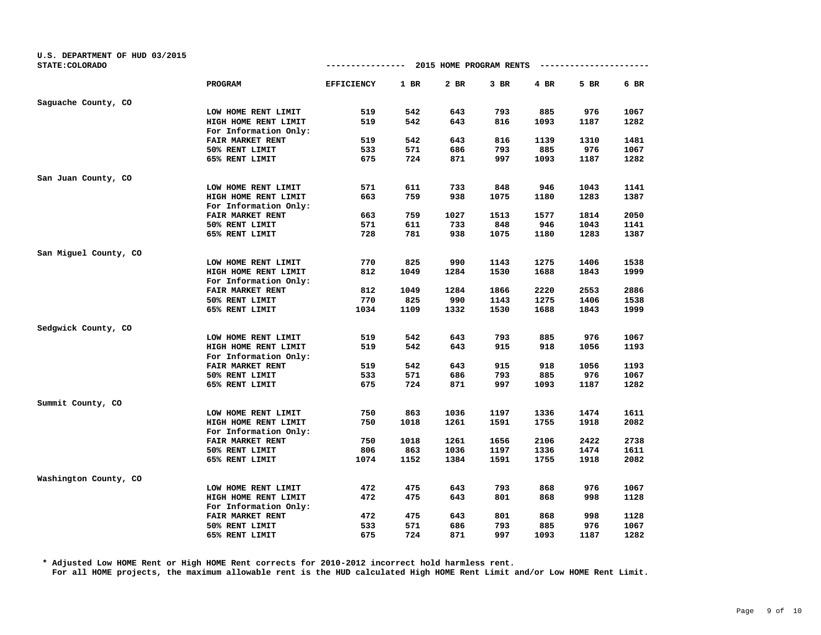| U.S. DEPARTMENT OF HUD 03/2015<br>STATE: COLORADO |                       | ----------------  |      | 2015 HOME PROGRAM RENTS |      |      | ------------ |      |
|---------------------------------------------------|-----------------------|-------------------|------|-------------------------|------|------|--------------|------|
|                                                   | PROGRAM               | <b>EFFICIENCY</b> | 1 BR | 2 BR                    | 3 BR | 4 BR | 5 BR         | 6 BR |
| Saguache County, CO                               |                       |                   |      |                         |      |      |              |      |
|                                                   | LOW HOME RENT LIMIT   | 519               | 542  | 643                     | 793  | 885  | 976          | 1067 |
|                                                   | HIGH HOME RENT LIMIT  | 519               | 542  | 643                     | 816  | 1093 | 1187         | 1282 |
|                                                   | For Information Only: |                   |      |                         |      |      |              |      |
|                                                   | FAIR MARKET RENT      | 519               | 542  | 643                     | 816  | 1139 | 1310         | 1481 |
|                                                   | 50% RENT LIMIT        | 533               | 571  | 686                     | 793  | 885  | 976          | 1067 |
|                                                   | 65% RENT LIMIT        | 675               | 724  | 871                     | 997  | 1093 | 1187         | 1282 |
| San Juan County, CO                               |                       |                   |      |                         |      |      |              |      |
|                                                   | LOW HOME RENT LIMIT   | 571               | 611  | 733                     | 848  | 946  | 1043         | 1141 |
|                                                   | HIGH HOME RENT LIMIT  | 663               | 759  | 938                     | 1075 | 1180 | 1283         | 1387 |
|                                                   | For Information Only: |                   |      |                         |      |      |              |      |
|                                                   | FAIR MARKET RENT      | 663               | 759  | 1027                    | 1513 | 1577 | 1814         | 2050 |
|                                                   | 50% RENT LIMIT        | 571               | 611  | 733                     | 848  | 946  | 1043         | 1141 |
|                                                   | 65% RENT LIMIT        | 728               | 781  | 938                     | 1075 | 1180 | 1283         | 1387 |
| San Miguel County, CO                             |                       |                   |      |                         |      |      |              |      |
|                                                   | LOW HOME RENT LIMIT   | 770               | 825  | 990                     | 1143 | 1275 | 1406         | 1538 |
|                                                   | HIGH HOME RENT LIMIT  | 812               | 1049 | 1284                    | 1530 | 1688 | 1843         | 1999 |
|                                                   | For Information Only: |                   |      |                         |      |      |              |      |
|                                                   | FAIR MARKET RENT      | 812               | 1049 | 1284                    | 1866 | 2220 | 2553         | 2886 |
|                                                   | 50% RENT LIMIT        | 770               | 825  | 990                     | 1143 | 1275 | 1406         | 1538 |
|                                                   | 65% RENT LIMIT        | 1034              | 1109 | 1332                    | 1530 | 1688 | 1843         | 1999 |
| Sedgwick County, CO                               |                       |                   |      |                         |      |      |              |      |
|                                                   | LOW HOME RENT LIMIT   | 519               | 542  | 643                     | 793  | 885  | 976          | 1067 |
|                                                   | HIGH HOME RENT LIMIT  | 519               | 542  | 643                     | 915  | 918  | 1056         | 1193 |
|                                                   | For Information Only: |                   |      |                         |      |      |              |      |
|                                                   | FAIR MARKET RENT      | 519               | 542  | 643                     | 915  | 918  | 1056         | 1193 |
|                                                   | 50% RENT LIMIT        | 533               | 571  | 686                     | 793  | 885  | 976          | 1067 |
|                                                   | 65% RENT LIMIT        | 675               | 724  | 871                     | 997  | 1093 | 1187         | 1282 |
| Summit County, CO                                 |                       |                   |      |                         |      |      |              |      |
|                                                   | LOW HOME RENT LIMIT   | 750               | 863  | 1036                    | 1197 | 1336 | 1474         | 1611 |
|                                                   | HIGH HOME RENT LIMIT  | 750               | 1018 | 1261                    | 1591 | 1755 | 1918         | 2082 |
|                                                   | For Information Only: |                   |      |                         |      |      |              |      |
|                                                   | FAIR MARKET RENT      | 750               | 1018 | 1261                    | 1656 | 2106 | 2422         | 2738 |
|                                                   | 50% RENT LIMIT        | 806               | 863  | 1036                    | 1197 | 1336 | 1474         | 1611 |
|                                                   | 65% RENT LIMIT        | 1074              | 1152 | 1384                    | 1591 | 1755 | 1918         | 2082 |
| Washington County, CO                             |                       |                   |      |                         |      |      |              |      |
|                                                   | LOW HOME RENT LIMIT   | 472               | 475  | 643                     | 793  | 868  | 976          | 1067 |
|                                                   | HIGH HOME RENT LIMIT  | 472               | 475  | 643                     | 801  | 868  | 998          | 1128 |
|                                                   | For Information Only: |                   |      |                         |      |      |              |      |
|                                                   | FAIR MARKET RENT      | 472               | 475  | 643                     | 801  | 868  | 998          | 1128 |
|                                                   | 50% RENT LIMIT        | 533               | 571  | 686                     | 793  | 885  | 976          | 1067 |
|                                                   | 65% RENT LIMIT        | 675               | 724  | 871                     | 997  | 1093 | 1187         | 1282 |